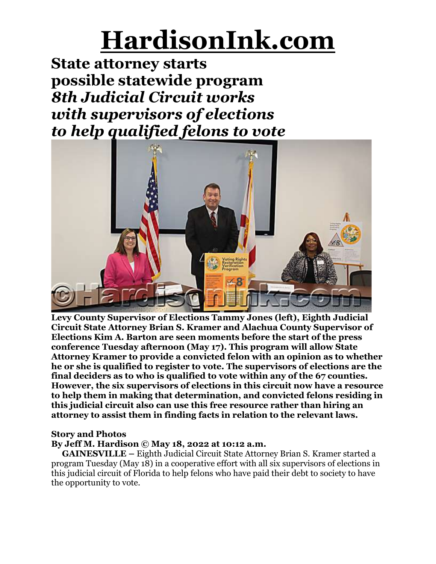**State attorney starts possible statewide program** *8th Judicial Circuit works with supervisors of elections to help qualified felons to vote*



**Levy County Supervisor of Elections Tammy Jones (left), Eighth Judicial Circuit State Attorney Brian S. Kramer and Alachua County Supervisor of Elections Kim A. Barton are seen moments before the start of the press conference Tuesday afternoon (May 17). This program will allow State Attorney Kramer to provide a convicted felon with an opinion as to whether he or she is qualified to register to vote. The supervisors of elections are the final deciders as to who is qualified to vote within any of the 67 counties. However, the six supervisors of elections in this circuit now have a resource to help them in making that determination, and convicted felons residing in this judicial circuit also can use this free resource rather than hiring an attorney to assist them in finding facts in relation to the relevant laws.**

### **Story and Photos**

#### **By Jeff M. Hardison © May 18, 2022 at 10:12 a.m.**

**GAINESVILLE –** Eighth Judicial Circuit State Attorney Brian S. Kramer started a program Tuesday (May 18) in a cooperative effort with all six supervisors of elections in this judicial circuit of Florida to help felons who have paid their debt to society to have the opportunity to vote.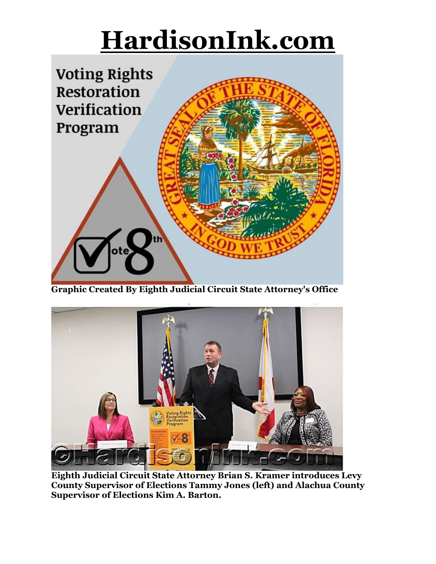

**Graphic Created By Eighth Judicial Circuit State Attorney's Office**



**Eighth Judicial Circuit State Attorney Brian S. Kramer introduces Levy County Supervisor of Elections Tammy Jones (left) and Alachua County Supervisor of Elections Kim A. Barton.**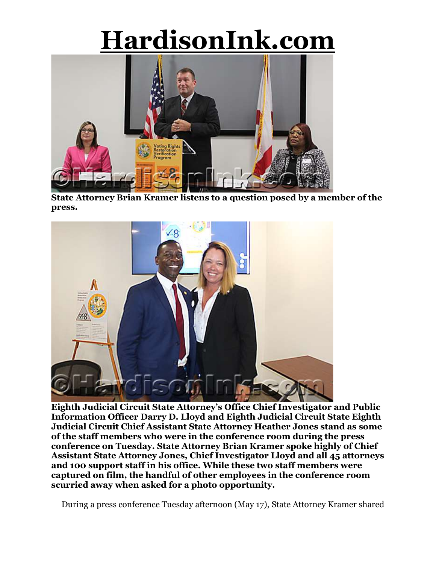

**State Attorney Brian Kramer listens to a question posed by a member of the press.**



**Eighth Judicial Circuit State Attorney's Office Chief Investigator and Public Information Officer Darry D. Lloyd and Eighth Judicial Circuit State Eighth Judicial Circuit Chief Assistant State Attorney Heather Jones stand as some of the staff members who were in the conference room during the press conference on Tuesday. State Attorney Brian Kramer spoke highly of Chief Assistant State Attorney Jones, Chief Investigator Lloyd and all 45 attorneys and 100 support staff in his office. While these two staff members were captured on film, the handful of other employees in the conference room scurried away when asked for a photo opportunity.**

During a press conference Tuesday afternoon (May 17), State Attorney Kramer shared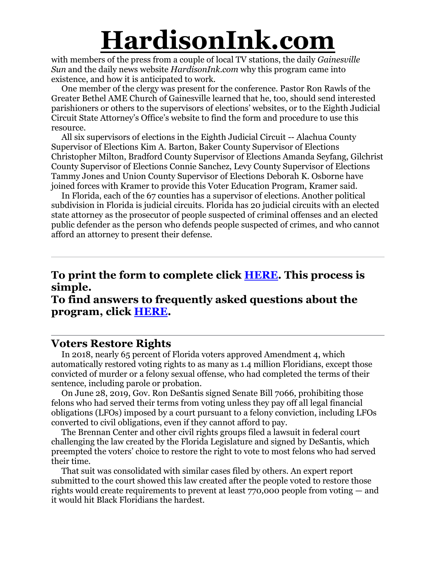with members of the press from a couple of local TV stations, the daily *Gainesville Sun* and the daily news website *HardisonInk.com* why this program came into existence, and how it is anticipated to work.

One member of the clergy was present for the conference. Pastor Ron Rawls of the Greater Bethel AME Church of Gainesville learned that he, too, should send interested parishioners or others to the supervisors of elections' websites, or to the Eighth Judicial Circuit State Attorney's Office's website to find the form and procedure to use this resource.

All six supervisors of elections in the Eighth Judicial Circuit -- Alachua County Supervisor of Elections Kim A. Barton, Baker County Supervisor of Elections Christopher Milton, Bradford County Supervisor of Elections Amanda Seyfang, Gilchrist County Supervisor of Elections Connie Sanchez, Levy County Supervisor of Elections Tammy Jones and Union County Supervisor of Elections Deborah K. Osborne have joined forces with Kramer to provide this Voter Education Program, Kramer said.

In Florida, each of the 67 counties has a supervisor of elections. Another political subdivision in Florida is judicial circuits. Florida has 20 judicial circuits with an elected state attorney as the prosecutor of people suspected of criminal offenses and an elected public defender as the person who defends people suspected of crimes, and who cannot afford an attorney to present their defense.

## **To print the form to complete click [HERE.](https://www.sao8.org/V8TH/V8th_Application_Form.pdf) This process is simple.**

### **To find answers to frequently asked questions about the program, click [HERE.](https://www.sao8.org/Vote8thFAQ.html)**

#### **Voters Restore Rights**

In 2018, nearly 65 percent of Florida voters approved Amendment 4, which automatically restored voting rights to as many as 1.4 million Floridians, except those convicted of murder or a felony sexual offense, who had completed the terms of their sentence, including parole or probation.

On June 28, 2019, Gov. Ron DeSantis signed Senate Bill 7066, prohibiting those felons who had served their terms from voting unless they pay off all legal financial obligations (LFOs) imposed by a court pursuant to a felony conviction, including LFOs converted to civil obligations, even if they cannot afford to pay.

The Brennan Center and other civil rights groups filed a lawsuit in federal court challenging the law created by the Florida Legislature and signed by DeSantis, which preempted the voters' choice to restore the right to vote to most felons who had served their time.

That suit was consolidated with similar cases filed by others. An expert report submitted to the court showed this law created after the people voted to restore those rights would create requirements to prevent at least 770,000 people from voting — and it would hit Black Floridians the hardest.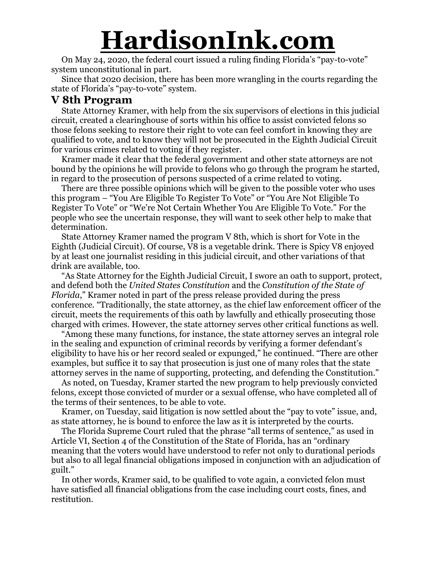On May 24, 2020, the federal court issued a ruling finding Florida's "pay-to-vote" system unconstitutional in part.

Since that 2020 decision, there has been more wrangling in the courts regarding the state of Florida's "pay-to-vote" system.

### **V 8th Program**

State Attorney Kramer, with help from the six supervisors of elections in this judicial circuit, created a clearinghouse of sorts within his office to assist convicted felons so those felons seeking to restore their right to vote can feel comfort in knowing they are qualified to vote, and to know they will not be prosecuted in the Eighth Judicial Circuit for various crimes related to voting if they register.

Kramer made it clear that the federal government and other state attorneys are not bound by the opinions he will provide to felons who go through the program he started, in regard to the prosecution of persons suspected of a crime related to voting.

There are three possible opinions which will be given to the possible voter who uses this program – "You Are Eligible To Register To Vote" or "You Are Not Eligible To Register To Vote" or "We're Not Certain Whether You Are Eligible To Vote." For the people who see the uncertain response, they will want to seek other help to make that determination.

State Attorney Kramer named the program V 8th, which is short for Vote in the Eighth (Judicial Circuit). Of course, V8 is a vegetable drink. There is Spicy V8 enjoyed by at least one journalist residing in this judicial circuit, and other variations of that drink are available, too.

"As State Attorney for the Eighth Judicial Circuit, I swore an oath to support, protect, and defend both the *United States Constitution* and the *Constitution of the State of Florida*," Kramer noted in part of the press release provided during the press conference. "Traditionally, the state attorney, as the chief law enforcement officer of the circuit, meets the requirements of this oath by lawfully and ethically prosecuting those charged with crimes. However, the state attorney serves other critical functions as well.

"Among these many functions, for instance, the state attorney serves an integral role in the sealing and expunction of criminal records by verifying a former defendant's eligibility to have his or her record sealed or expunged," he continued. "There are other examples, but suffice it to say that prosecution is just one of many roles that the state attorney serves in the name of supporting, protecting, and defending the Constitution."

As noted, on Tuesday, Kramer started the new program to help previously convicted felons, except those convicted of murder or a sexual offense, who have completed all of the terms of their sentences, to be able to vote.

Kramer, on Tuesday, said litigation is now settled about the "pay to vote" issue, and, as state attorney, he is bound to enforce the law as it is interpreted by the courts.

The Florida Supreme Court ruled that the phrase "all terms of sentence," as used in Article VI, Section 4 of the Constitution of the State of Florida, has an "ordinary meaning that the voters would have understood to refer not only to durational periods but also to all legal financial obligations imposed in conjunction with an adjudication of guilt."

In other words, Kramer said, to be qualified to vote again, a convicted felon must have satisfied all financial obligations from the case including court costs, fines, and restitution.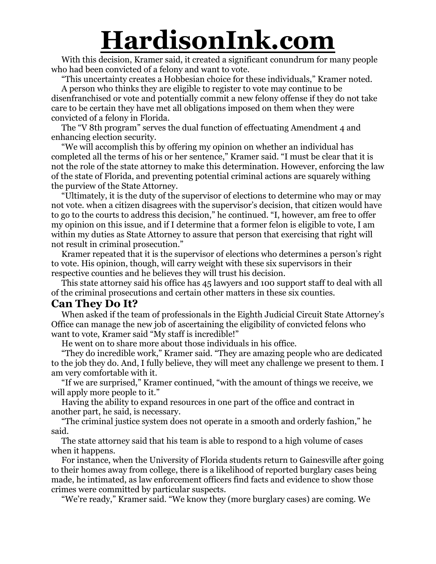With this decision, Kramer said, it created a significant conundrum for many people who had been convicted of a felony and want to vote.

"This uncertainty creates a Hobbesian choice for these individuals," Kramer noted.

A person who thinks they are eligible to register to vote may continue to be disenfranchised or vote and potentially commit a new felony offense if they do not take care to be certain they have met all obligations imposed on them when they were convicted of a felony in Florida.

The "V 8th program" serves the dual function of effectuating Amendment 4 and enhancing election security.

"We will accomplish this by offering my opinion on whether an individual has completed all the terms of his or her sentence," Kramer said. "I must be clear that it is not the role of the state attorney to make this determination. However, enforcing the law of the state of Florida, and preventing potential criminal actions are squarely withing the purview of the State Attorney.

"Ultimately, it is the duty of the supervisor of elections to determine who may or may not vote. when a citizen disagrees with the supervisor's decision, that citizen would have to go to the courts to address this decision," he continued. "I, however, am free to offer my opinion on this issue, and if I determine that a former felon is eligible to vote, I am within my duties as State Attorney to assure that person that exercising that right will not result in criminal prosecution."

Kramer repeated that it is the supervisor of elections who determines a person's right to vote. His opinion, though, will carry weight with these six supervisors in their respective counties and he believes they will trust his decision.

This state attorney said his office has 45 lawyers and 100 support staff to deal with all of the criminal prosecutions and certain other matters in these six counties.

#### **Can They Do It?**

When asked if the team of professionals in the Eighth Judicial Circuit State Attorney's Office can manage the new job of ascertaining the eligibility of convicted felons who want to vote, Kramer said "My staff is incredible!"

He went on to share more about those individuals in his office.

"They do incredible work," Kramer said. "They are amazing people who are dedicated to the job they do. And, I fully believe, they will meet any challenge we present to them. I am very comfortable with it.

"If we are surprised," Kramer continued, "with the amount of things we receive, we will apply more people to it."

Having the ability to expand resources in one part of the office and contract in another part, he said, is necessary.

"The criminal justice system does not operate in a smooth and orderly fashion," he said.

The state attorney said that his team is able to respond to a high volume of cases when it happens.

For instance, when the University of Florida students return to Gainesville after going to their homes away from college, there is a likelihood of reported burglary cases being made, he intimated, as law enforcement officers find facts and evidence to show those crimes were committed by particular suspects.

"We're ready," Kramer said. "We know they (more burglary cases) are coming. We